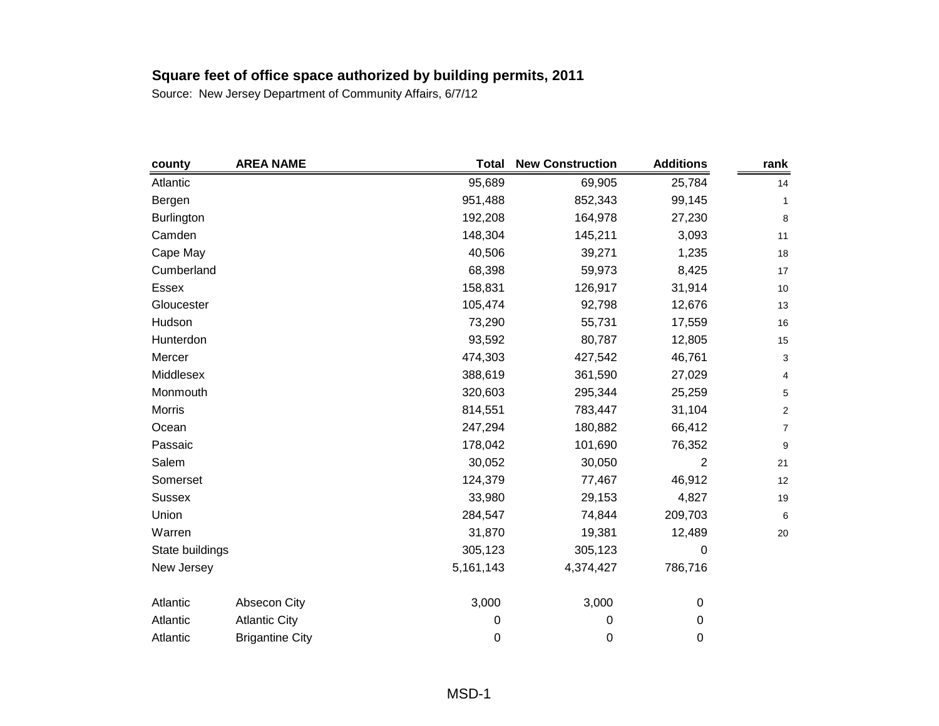| county            | <b>AREA NAME</b>       | <b>Total</b> | <b>New Construction</b> | <b>Additions</b> | rank                    |
|-------------------|------------------------|--------------|-------------------------|------------------|-------------------------|
| Atlantic          |                        | 95,689       | 69,905                  | 25,784           | 14                      |
| Bergen            |                        | 951,488      | 852,343                 | 99,145           | 1                       |
| <b>Burlington</b> |                        | 192,208      | 164,978                 | 27,230           | 8                       |
| Camden            |                        | 148,304      | 145,211                 | 3,093            | 11                      |
| Cape May          |                        | 40,506       | 39,271                  | 1,235            | 18                      |
| Cumberland        |                        | 68,398       | 59,973                  | 8,425            | 17                      |
| <b>Essex</b>      |                        | 158,831      | 126,917                 | 31,914           | 10                      |
| Gloucester        |                        | 105,474      | 92,798                  | 12,676           | 13                      |
| Hudson            |                        | 73,290       | 55,731                  | 17,559           | 16                      |
| Hunterdon         |                        | 93,592       | 80,787                  | 12,805           | 15                      |
| Mercer            |                        | 474,303      | 427,542                 | 46,761           | 3                       |
| Middlesex         |                        | 388,619      | 361,590                 | 27,029           | 4                       |
| Monmouth          |                        | 320,603      | 295,344                 | 25,259           | 5                       |
| Morris            |                        | 814,551      | 783,447                 | 31,104           | $\overline{\mathbf{c}}$ |
| Ocean             |                        | 247,294      | 180,882                 | 66,412           | $\boldsymbol{7}$        |
| Passaic           |                        | 178,042      | 101,690                 | 76,352           | $\boldsymbol{9}$        |
| Salem             |                        | 30,052       | 30,050                  | 2                | 21                      |
| Somerset          |                        | 124,379      | 77,467                  | 46,912           | 12                      |
| <b>Sussex</b>     |                        | 33,980       | 29,153                  | 4,827            | 19                      |
| Union             |                        | 284,547      | 74,844                  | 209,703          | 6                       |
| Warren            |                        | 31,870       | 19,381                  | 12,489           | 20                      |
| State buildings   |                        | 305,123      | 305,123                 | 0                |                         |
| New Jersey        |                        | 5,161,143    | 4,374,427               | 786,716          |                         |
| Atlantic          | Absecon City           | 3,000        | 3,000                   | 0                |                         |
| Atlantic          | <b>Atlantic City</b>   | 0            | 0                       | 0                |                         |
| Atlantic          | <b>Brigantine City</b> | 0            | 0                       | 0                |                         |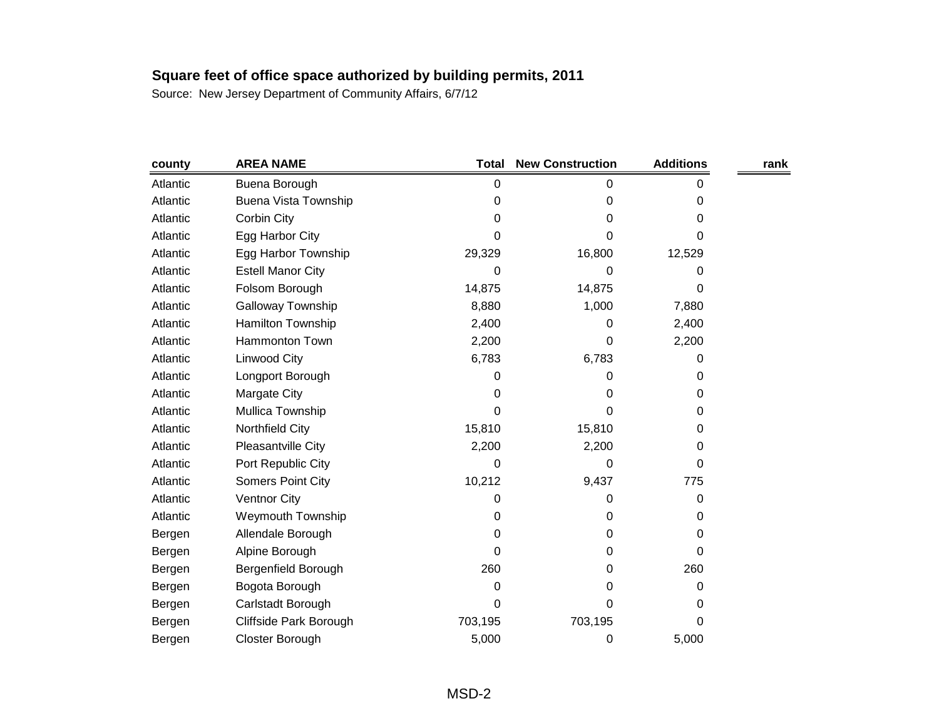| county   | <b>AREA NAME</b>            | <b>Total</b> | <b>New Construction</b> | <b>Additions</b> | rank |
|----------|-----------------------------|--------------|-------------------------|------------------|------|
| Atlantic | Buena Borough               | 0            | 0                       | 0                |      |
| Atlantic | <b>Buena Vista Township</b> | 0            | 0                       | 0                |      |
| Atlantic | Corbin City                 | 0            | 0                       | 0                |      |
| Atlantic | Egg Harbor City             | 0            | 0                       | 0                |      |
| Atlantic | Egg Harbor Township         | 29,329       | 16,800                  | 12,529           |      |
| Atlantic | <b>Estell Manor City</b>    | 0            | 0                       | 0                |      |
| Atlantic | Folsom Borough              | 14,875       | 14,875                  | 0                |      |
| Atlantic | Galloway Township           | 8,880        | 1,000                   | 7,880            |      |
| Atlantic | Hamilton Township           | 2,400        | 0                       | 2,400            |      |
| Atlantic | Hammonton Town              | 2,200        | 0                       | 2,200            |      |
| Atlantic | Linwood City                | 6,783        | 6,783                   | 0                |      |
| Atlantic | Longport Borough            | 0            | 0                       | 0                |      |
| Atlantic | Margate City                | 0            | 0                       | 0                |      |
| Atlantic | Mullica Township            | 0            | 0                       | 0                |      |
| Atlantic | Northfield City             | 15,810       | 15,810                  | 0                |      |
| Atlantic | Pleasantville City          | 2,200        | 2,200                   | 0                |      |
| Atlantic | Port Republic City          | 0            | 0                       | 0                |      |
| Atlantic | <b>Somers Point City</b>    | 10,212       | 9,437                   | 775              |      |
| Atlantic | <b>Ventnor City</b>         | 0            | 0                       | 0                |      |
| Atlantic | <b>Weymouth Township</b>    | 0            | 0                       | 0                |      |
| Bergen   | Allendale Borough           | 0            | 0                       | 0                |      |
| Bergen   | Alpine Borough              | 0            | 0                       | 0                |      |
| Bergen   | Bergenfield Borough         | 260          | 0                       | 260              |      |
| Bergen   | Bogota Borough              | 0            | 0                       | 0                |      |
| Bergen   | Carlstadt Borough           | 0            | 0                       | 0                |      |
| Bergen   | Cliffside Park Borough      | 703,195      | 703,195                 | 0                |      |
| Bergen   | Closter Borough             | 5,000        | 0                       | 5,000            |      |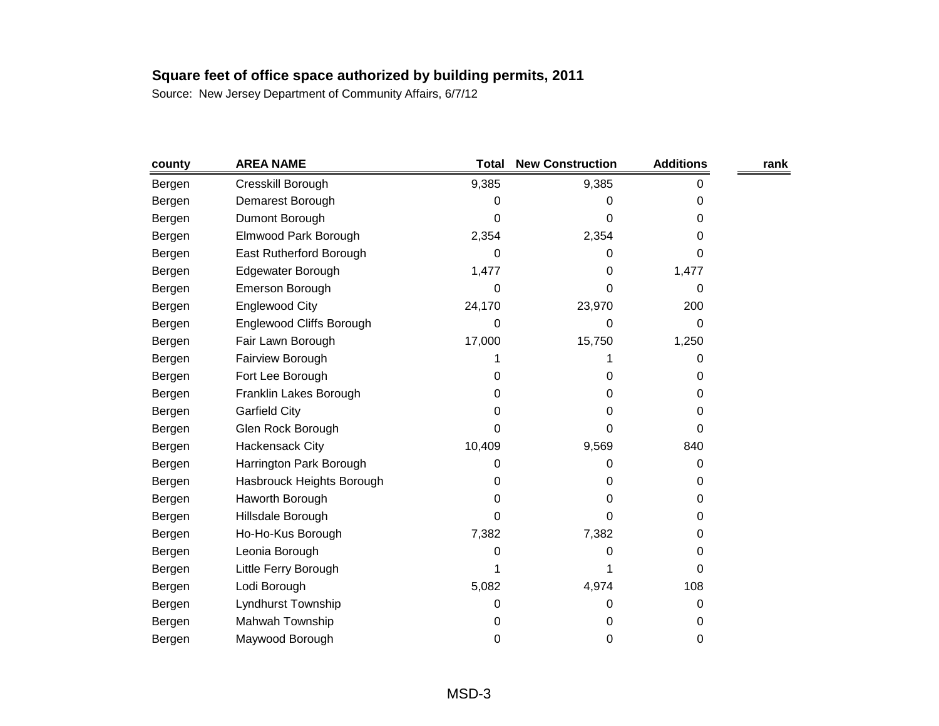| county | <b>AREA NAME</b>          | <b>Total</b> | <b>New Construction</b> | <b>Additions</b> | rank |
|--------|---------------------------|--------------|-------------------------|------------------|------|
| Bergen | Cresskill Borough         | 9,385        | 9,385                   | 0                |      |
| Bergen | Demarest Borough          | 0            | 0                       | 0                |      |
| Bergen | Dumont Borough            | 0            | 0                       | 0                |      |
| Bergen | Elmwood Park Borough      | 2,354        | 2,354                   | 0                |      |
| Bergen | East Rutherford Borough   | 0            | 0                       | 0                |      |
| Bergen | Edgewater Borough         | 1,477        | 0                       | 1,477            |      |
| Bergen | Emerson Borough           | 0            | 0                       | 0                |      |
| Bergen | Englewood City            | 24,170       | 23,970                  | 200              |      |
| Bergen | Englewood Cliffs Borough  | 0            | 0                       | 0                |      |
| Bergen | Fair Lawn Borough         | 17,000       | 15,750                  | 1,250            |      |
| Bergen | Fairview Borough          |              |                         | 0                |      |
| Bergen | Fort Lee Borough          | 0            | 0                       | 0                |      |
| Bergen | Franklin Lakes Borough    | 0            | 0                       | 0                |      |
| Bergen | <b>Garfield City</b>      | 0            | 0                       | 0                |      |
| Bergen | Glen Rock Borough         | 0            | 0                       | 0                |      |
| Bergen | Hackensack City           | 10,409       | 9,569                   | 840              |      |
| Bergen | Harrington Park Borough   | 0            | 0                       | 0                |      |
| Bergen | Hasbrouck Heights Borough | 0            | 0                       | 0                |      |
| Bergen | Haworth Borough           | 0            | 0                       | 0                |      |
| Bergen | Hillsdale Borough         | 0            | 0                       | 0                |      |
| Bergen | Ho-Ho-Kus Borough         | 7,382        | 7,382                   | 0                |      |
| Bergen | Leonia Borough            | 0            | 0                       | 0                |      |
| Bergen | Little Ferry Borough      |              | 1                       | 0                |      |
| Bergen | Lodi Borough              | 5,082        | 4,974                   | 108              |      |
| Bergen | Lyndhurst Township        | 0            | 0                       | 0                |      |
| Bergen | Mahwah Township           | 0            | 0                       | 0                |      |
| Bergen | Maywood Borough           | 0            | 0                       | 0                |      |
|        |                           |              |                         |                  |      |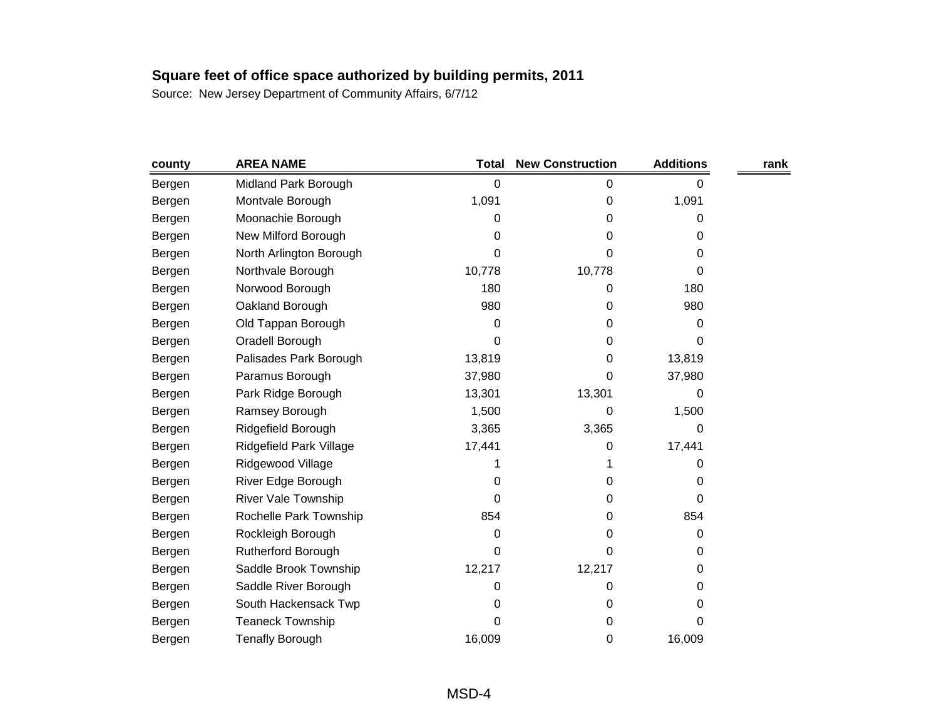| county | <b>AREA NAME</b>          | <b>Total</b> | <b>New Construction</b> | <b>Additions</b> | rank |
|--------|---------------------------|--------------|-------------------------|------------------|------|
| Bergen | Midland Park Borough      | 0            | 0                       | 0                |      |
| Bergen | Montvale Borough          | 1,091        | 0                       | 1,091            |      |
| Bergen | Moonachie Borough         | 0            | 0                       | 0                |      |
| Bergen | New Milford Borough       | 0            | 0                       | 0                |      |
| Bergen | North Arlington Borough   | 0            | 0                       | 0                |      |
| Bergen | Northvale Borough         | 10,778       | 10,778                  | 0                |      |
| Bergen | Norwood Borough           | 180          | 0                       | 180              |      |
| Bergen | Oakland Borough           | 980          | 0                       | 980              |      |
| Bergen | Old Tappan Borough        | 0            | 0                       | 0                |      |
| Bergen | Oradell Borough           | 0            | 0                       | 0                |      |
| Bergen | Palisades Park Borough    | 13,819       | 0                       | 13,819           |      |
| Bergen | Paramus Borough           | 37,980       | 0                       | 37,980           |      |
| Bergen | Park Ridge Borough        | 13,301       | 13,301                  | 0                |      |
| Bergen | Ramsey Borough            | 1,500        | 0                       | 1,500            |      |
| Bergen | Ridgefield Borough        | 3,365        | 3,365                   | 0                |      |
| Bergen | Ridgefield Park Village   | 17,441       | 0                       | 17,441           |      |
| Bergen | Ridgewood Village         |              |                         | 0                |      |
| Bergen | River Edge Borough        | 0            | 0                       | 0                |      |
| Bergen | River Vale Township       | 0            | 0                       | 0                |      |
| Bergen | Rochelle Park Township    | 854          | 0                       | 854              |      |
| Bergen | Rockleigh Borough         | 0            | 0                       | 0                |      |
| Bergen | <b>Rutherford Borough</b> | 0            | 0                       | 0                |      |
| Bergen | Saddle Brook Township     | 12,217       | 12,217                  | 0                |      |
| Bergen | Saddle River Borough      | 0            | 0                       | 0                |      |
| Bergen | South Hackensack Twp      | 0            | 0                       | 0                |      |
| Bergen | <b>Teaneck Township</b>   | 0            | 0                       | 0                |      |
| Bergen | <b>Tenafly Borough</b>    | 16,009       | 0                       | 16,009           |      |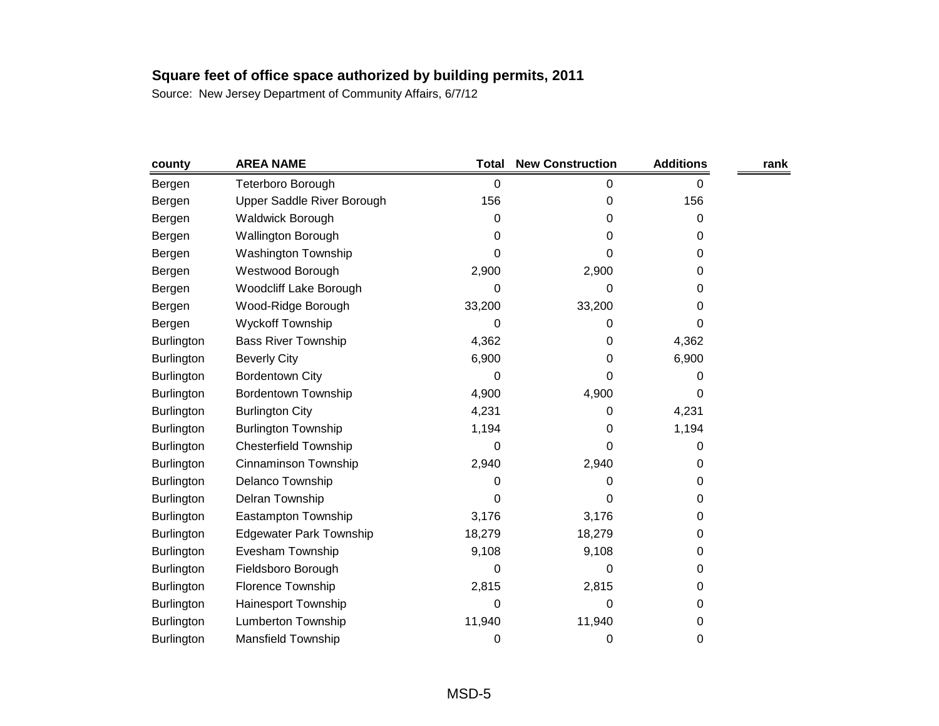| 0<br>0<br>0 | 0<br>156 |   |
|-------------|----------|---|
|             |          |   |
|             |          |   |
|             |          |   |
|             | 0        |   |
| 0           | 0        |   |
| 2,900       | 0        |   |
| 0           | 0        |   |
| 33,200      | 0        |   |
| 0           | 0        |   |
| 0           | 4,362    |   |
| 0           | 6,900    |   |
| 0           | 0        |   |
| 4,900       | 0        |   |
| 0           | 4,231    |   |
| 0           | 1,194    |   |
| 0           | 0        |   |
| 2,940       | 0        |   |
| 0           | 0        |   |
| 0           | 0        |   |
| 3,176       | 0        |   |
| 18,279      | 0        |   |
| 9,108       | 0        |   |
| 0           | 0        |   |
| 2,815       | 0        |   |
| 0           | 0        |   |
| 11,940      | 0        |   |
| 0           | 0        |   |
|             | 0        | 0 |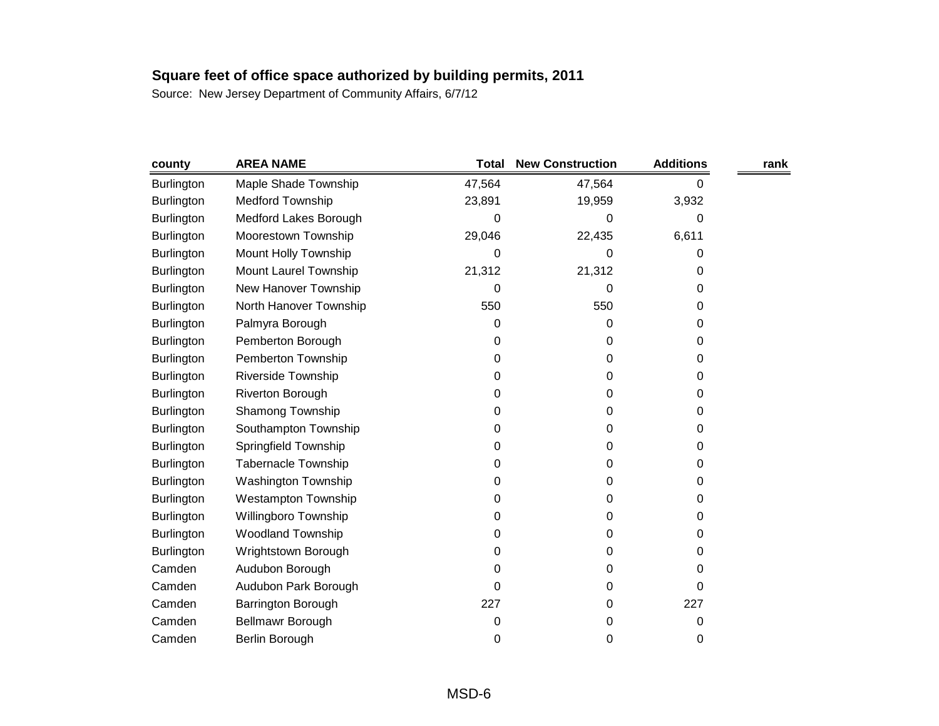| county            | <b>AREA NAME</b>           | Total  | <b>New Construction</b> | <b>Additions</b> | rank |
|-------------------|----------------------------|--------|-------------------------|------------------|------|
| <b>Burlington</b> | Maple Shade Township       | 47,564 | 47,564                  | 0                |      |
| <b>Burlington</b> | <b>Medford Township</b>    | 23,891 | 19,959                  | 3,932            |      |
| <b>Burlington</b> | Medford Lakes Borough      | 0      | 0                       | 0                |      |
| <b>Burlington</b> | Moorestown Township        | 29,046 | 22,435                  | 6,611            |      |
| <b>Burlington</b> | Mount Holly Township       | 0      | 0                       | 0                |      |
| <b>Burlington</b> | Mount Laurel Township      | 21,312 | 21,312                  | 0                |      |
| <b>Burlington</b> | New Hanover Township       | 0      | 0                       | 0                |      |
| <b>Burlington</b> | North Hanover Township     | 550    | 550                     | 0                |      |
| Burlington        | Palmyra Borough            | 0      | 0                       | 0                |      |
| Burlington        | Pemberton Borough          | 0      | 0                       | 0                |      |
| <b>Burlington</b> | Pemberton Township         | 0      | 0                       | 0                |      |
| <b>Burlington</b> | Riverside Township         | 0      | 0                       | 0                |      |
| Burlington        | Riverton Borough           | 0      | 0                       | 0                |      |
| <b>Burlington</b> | Shamong Township           | 0      | 0                       | 0                |      |
| <b>Burlington</b> | Southampton Township       | 0      | 0                       | 0                |      |
| <b>Burlington</b> | Springfield Township       | 0      | 0                       | 0                |      |
| <b>Burlington</b> | <b>Tabernacle Township</b> | 0      | 0                       | 0                |      |
| <b>Burlington</b> | <b>Washington Township</b> | 0      | 0                       | 0                |      |
| Burlington        | <b>Westampton Township</b> | 0      | 0                       | 0                |      |
| <b>Burlington</b> | Willingboro Township       | 0      | 0                       | 0                |      |
| <b>Burlington</b> | <b>Woodland Township</b>   | 0      | 0                       | 0                |      |
| <b>Burlington</b> | Wrightstown Borough        | 0      | 0                       | 0                |      |
| Camden            | Audubon Borough            | 0      | 0                       | 0                |      |
| Camden            | Audubon Park Borough       | 0      | 0                       | 0                |      |
| Camden            | Barrington Borough         | 227    | 0                       | 227              |      |
| Camden            | Bellmawr Borough           | 0      | 0                       | 0                |      |
| Camden            | Berlin Borough             | 0      | 0                       | 0                |      |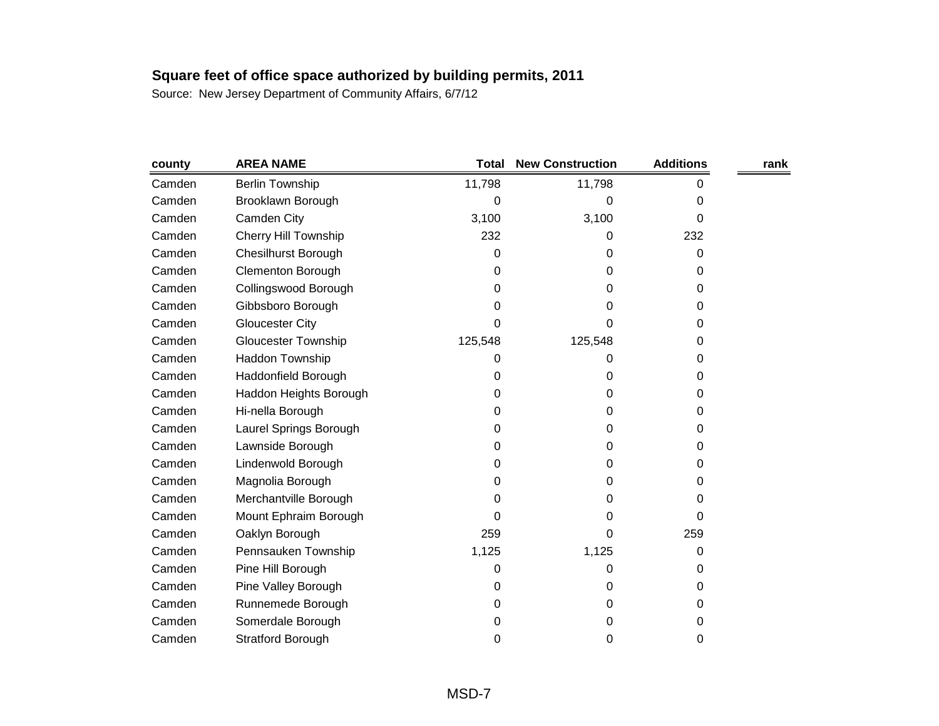| county | <b>AREA NAME</b>            | <b>Total</b> | <b>New Construction</b> | <b>Additions</b> | rank |
|--------|-----------------------------|--------------|-------------------------|------------------|------|
| Camden | <b>Berlin Township</b>      | 11,798       | 11,798                  | 0                |      |
| Camden | Brooklawn Borough           | 0            | 0                       | 0                |      |
| Camden | Camden City                 | 3,100        | 3,100                   | 0                |      |
| Camden | <b>Cherry Hill Township</b> | 232          | 0                       | 232              |      |
| Camden | <b>Chesilhurst Borough</b>  | 0            | 0                       | 0                |      |
| Camden | <b>Clementon Borough</b>    | 0            | 0                       | 0                |      |
| Camden | Collingswood Borough        | 0            | 0                       | 0                |      |
| Camden | Gibbsboro Borough           | 0            | 0                       | 0                |      |
| Camden | <b>Gloucester City</b>      | 0            | 0                       | 0                |      |
| Camden | Gloucester Township         | 125,548      | 125,548                 | 0                |      |
| Camden | Haddon Township             | 0            | 0                       | 0                |      |
| Camden | Haddonfield Borough         | 0            | 0                       | 0                |      |
| Camden | Haddon Heights Borough      | 0            | 0                       | 0                |      |
| Camden | Hi-nella Borough            | 0            | 0                       | 0                |      |
| Camden | Laurel Springs Borough      | 0            | 0                       | 0                |      |
| Camden | Lawnside Borough            | 0            | 0                       | 0                |      |
| Camden | Lindenwold Borough          | 0            | 0                       | 0                |      |
| Camden | Magnolia Borough            | 0            | 0                       | 0                |      |
| Camden | Merchantville Borough       | 0            | 0                       | 0                |      |
| Camden | Mount Ephraim Borough       | 0            | 0                       | 0                |      |
| Camden | Oaklyn Borough              | 259          | 0                       | 259              |      |
| Camden | Pennsauken Township         | 1,125        | 1,125                   | 0                |      |
| Camden | Pine Hill Borough           | 0            | 0                       | 0                |      |
| Camden | Pine Valley Borough         | 0            | 0                       | 0                |      |
| Camden | Runnemede Borough           | 0            | 0                       | 0                |      |
| Camden | Somerdale Borough           | 0            | 0                       | 0                |      |
| Camden | <b>Stratford Borough</b>    | 0            | 0                       | 0                |      |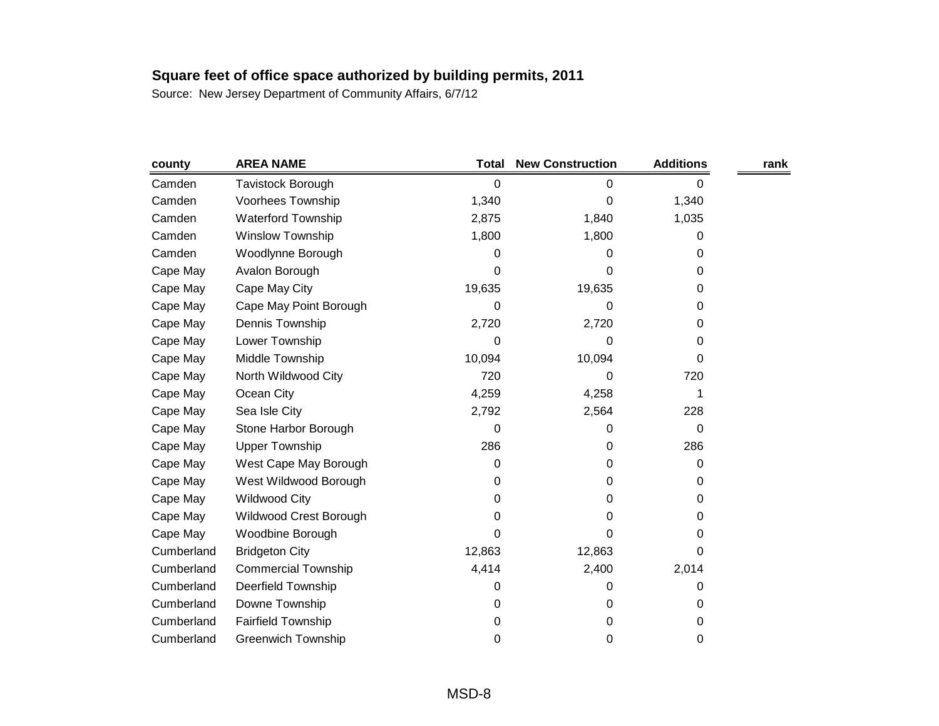| county     | <b>AREA NAME</b>           | Total  | <b>New Construction</b> | <b>Additions</b> | rank |
|------------|----------------------------|--------|-------------------------|------------------|------|
| Camden     | <b>Tavistock Borough</b>   | 0      | 0                       | 0                |      |
| Camden     | Voorhees Township          | 1,340  | 0                       | 1,340            |      |
| Camden     | <b>Waterford Township</b>  | 2,875  | 1,840                   | 1,035            |      |
| Camden     | Winslow Township           | 1,800  | 1,800                   | 0                |      |
| Camden     | Woodlynne Borough          | 0      | 0                       | 0                |      |
| Cape May   | Avalon Borough             | 0      | 0                       | 0                |      |
| Cape May   | Cape May City              | 19,635 | 19,635                  | 0                |      |
| Cape May   | Cape May Point Borough     | 0      | 0                       | 0                |      |
| Cape May   | Dennis Township            | 2,720  | 2,720                   | 0                |      |
| Cape May   | Lower Township             | 0      | 0                       | 0                |      |
| Cape May   | Middle Township            | 10,094 | 10,094                  | 0                |      |
| Cape May   | North Wildwood City        | 720    | 0                       | 720              |      |
| Cape May   | Ocean City                 | 4,259  | 4,258                   | 1                |      |
| Cape May   | Sea Isle City              | 2,792  | 2,564                   | 228              |      |
| Cape May   | Stone Harbor Borough       | 0      | 0                       | $\Omega$         |      |
| Cape May   | <b>Upper Township</b>      | 286    | 0                       | 286              |      |
| Cape May   | West Cape May Borough      | 0      | 0                       | 0                |      |
| Cape May   | West Wildwood Borough      | 0      | 0                       | 0                |      |
| Cape May   | <b>Wildwood City</b>       | 0      | 0                       | 0                |      |
| Cape May   | Wildwood Crest Borough     | 0      | 0                       | 0                |      |
| Cape May   | Woodbine Borough           | 0      | 0                       | 0                |      |
| Cumberland | <b>Bridgeton City</b>      | 12,863 | 12,863                  | 0                |      |
| Cumberland | <b>Commercial Township</b> | 4,414  | 2,400                   | 2,014            |      |
| Cumberland | Deerfield Township         | 0      | 0                       | 0                |      |
| Cumberland | Downe Township             | 0      | 0                       | 0                |      |
| Cumberland | <b>Fairfield Township</b>  | 0      | 0                       | 0                |      |
| Cumberland | <b>Greenwich Township</b>  | 0      | 0                       | 0                |      |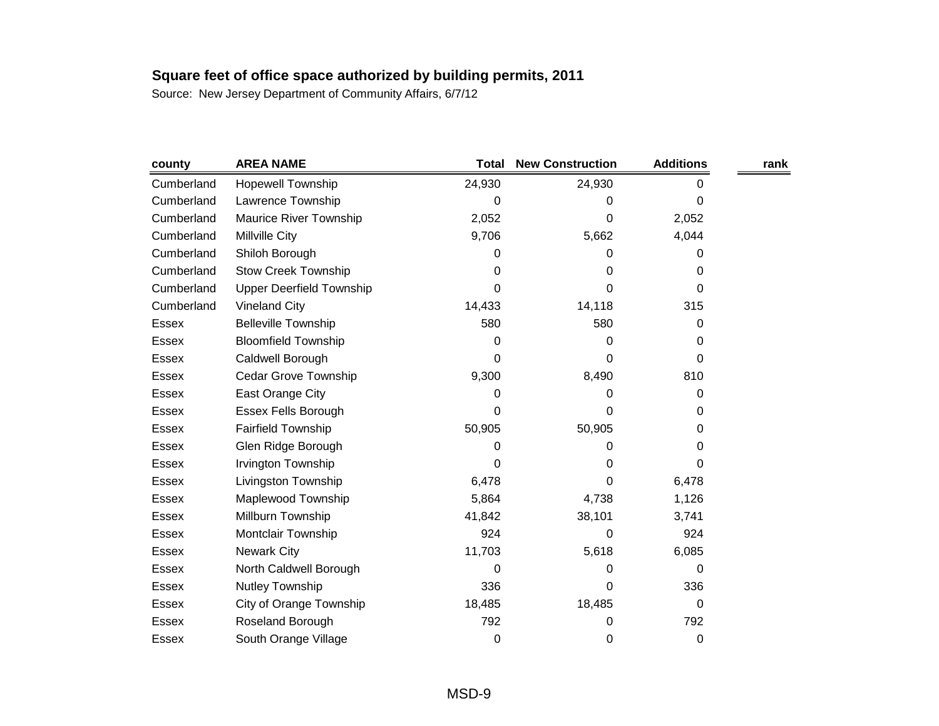| county       | <b>AREA NAME</b>                | <b>Total</b> | <b>New Construction</b> | <b>Additions</b> | rank |
|--------------|---------------------------------|--------------|-------------------------|------------------|------|
| Cumberland   | <b>Hopewell Township</b>        | 24,930       | 24,930                  | 0                |      |
| Cumberland   | Lawrence Township               | 0            | 0                       | 0                |      |
| Cumberland   | Maurice River Township          | 2,052        | 0                       | 2,052            |      |
| Cumberland   | Millville City                  | 9,706        | 5,662                   | 4,044            |      |
| Cumberland   | Shiloh Borough                  | 0            | 0                       | 0                |      |
| Cumberland   | <b>Stow Creek Township</b>      | 0            | 0                       | 0                |      |
| Cumberland   | <b>Upper Deerfield Township</b> | 0            | 0                       | 0                |      |
| Cumberland   | <b>Vineland City</b>            | 14,433       | 14,118                  | 315              |      |
| Essex        | <b>Belleville Township</b>      | 580          | 580                     | 0                |      |
| <b>Essex</b> | <b>Bloomfield Township</b>      | 0            | 0                       | 0                |      |
| Essex        | Caldwell Borough                | 0            | 0                       | 0                |      |
| Essex        | <b>Cedar Grove Township</b>     | 9,300        | 8,490                   | 810              |      |
| Essex        | East Orange City                | 0            | 0                       | 0                |      |
| Essex        | <b>Essex Fells Borough</b>      | 0            | 0                       | 0                |      |
| Essex        | <b>Fairfield Township</b>       | 50,905       | 50,905                  | 0                |      |
| <b>Essex</b> | Glen Ridge Borough              | 0            | 0                       | 0                |      |
| Essex        | Irvington Township              | 0            | 0                       | 0                |      |
| <b>Essex</b> | Livingston Township             | 6,478        | 0                       | 6,478            |      |
| Essex        | Maplewood Township              | 5,864        | 4,738                   | 1,126            |      |
| Essex        | Millburn Township               | 41,842       | 38,101                  | 3,741            |      |
| Essex        | Montclair Township              | 924          | 0                       | 924              |      |
| Essex        | <b>Newark City</b>              | 11,703       | 5,618                   | 6,085            |      |
| Essex        | North Caldwell Borough          | 0            | 0                       | 0                |      |
| Essex        | Nutley Township                 | 336          | 0                       | 336              |      |
| Essex        | City of Orange Township         | 18,485       | 18,485                  | 0                |      |
| <b>Essex</b> | Roseland Borough                | 792          | 0                       | 792              |      |
| <b>Essex</b> | South Orange Village            | 0            | 0                       | 0                |      |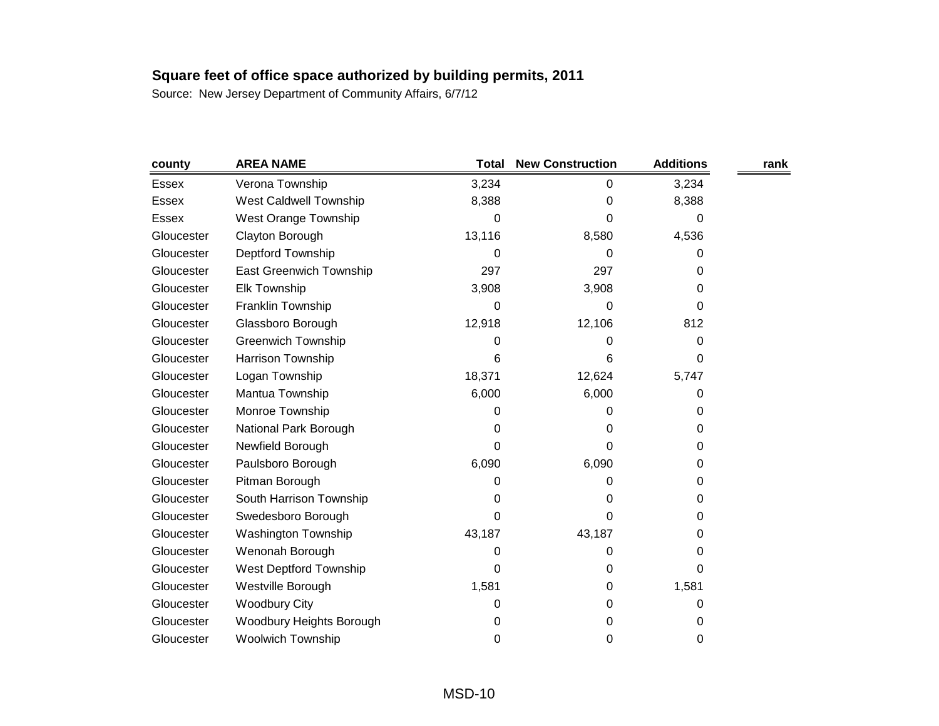| county       | <b>AREA NAME</b>               | <b>Total</b> | <b>New Construction</b> | <b>Additions</b> | rank |
|--------------|--------------------------------|--------------|-------------------------|------------------|------|
| Essex        | Verona Township                | 3,234        | 0                       | 3,234            |      |
| <b>Essex</b> | West Caldwell Township         | 8,388        | 0                       | 8,388            |      |
| <b>Essex</b> | West Orange Township           | 0            | 0                       | 0                |      |
| Gloucester   | Clayton Borough                | 13,116       | 8,580                   | 4,536            |      |
| Gloucester   | Deptford Township              | 0            | 0                       | 0                |      |
| Gloucester   | <b>East Greenwich Township</b> | 297          | 297                     | 0                |      |
| Gloucester   | <b>Elk Township</b>            | 3,908        | 3,908                   | 0                |      |
| Gloucester   | Franklin Township              | 0            | 0                       | 0                |      |
| Gloucester   | Glassboro Borough              | 12,918       | 12,106                  | 812              |      |
| Gloucester   | <b>Greenwich Township</b>      | 0            | 0                       | 0                |      |
| Gloucester   | Harrison Township              | 6            | 6                       | 0                |      |
| Gloucester   | Logan Township                 | 18,371       | 12,624                  | 5,747            |      |
| Gloucester   | Mantua Township                | 6,000        | 6,000                   | 0                |      |
| Gloucester   | Monroe Township                | 0            | 0                       | 0                |      |
| Gloucester   | National Park Borough          | 0            | 0                       | 0                |      |
| Gloucester   | Newfield Borough               | 0            | 0                       | 0                |      |
| Gloucester   | Paulsboro Borough              | 6,090        | 6,090                   | 0                |      |
| Gloucester   | Pitman Borough                 | 0            | 0                       | 0                |      |
| Gloucester   | South Harrison Township        | 0            | 0                       | 0                |      |
| Gloucester   | Swedesboro Borough             | 0            | 0                       | 0                |      |
| Gloucester   | <b>Washington Township</b>     | 43,187       | 43,187                  | 0                |      |
| Gloucester   | Wenonah Borough                | 0            | 0                       | 0                |      |
| Gloucester   | West Deptford Township         | 0            | 0                       | 0                |      |
| Gloucester   | Westville Borough              | 1,581        | 0                       | 1,581            |      |
| Gloucester   | <b>Woodbury City</b>           | 0            | 0                       | 0                |      |
| Gloucester   | Woodbury Heights Borough       | 0            | 0                       | 0                |      |
| Gloucester   | Woolwich Township              | 0            | 0                       | 0                |      |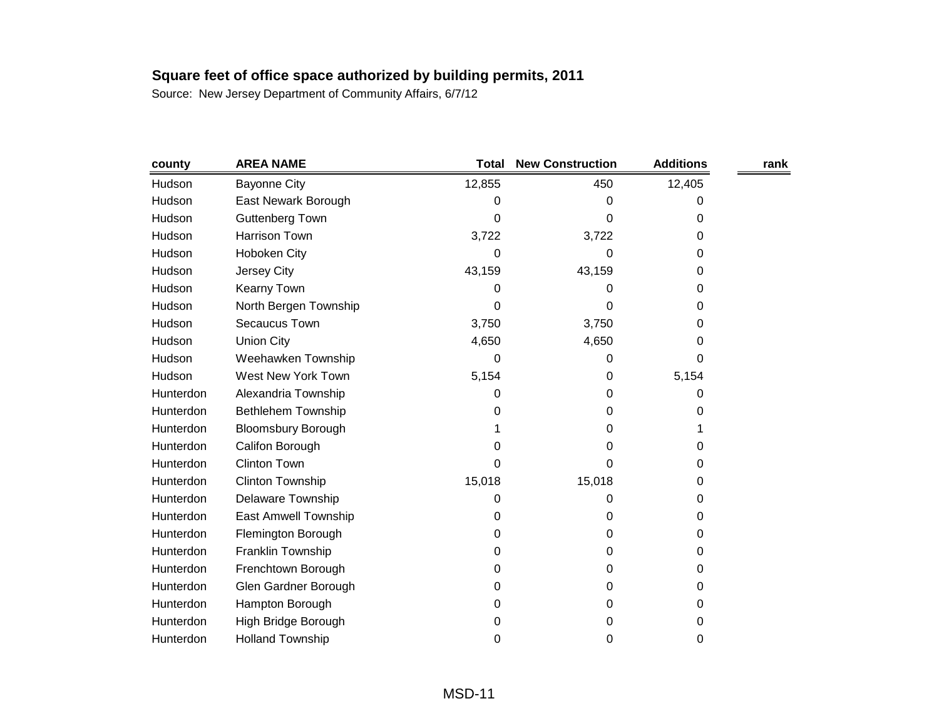| county    | <b>AREA NAME</b>          | <b>Total</b> | <b>New Construction</b> | <b>Additions</b> | rank |
|-----------|---------------------------|--------------|-------------------------|------------------|------|
| Hudson    | <b>Bayonne City</b>       | 12,855       | 450                     | 12,405           |      |
| Hudson    | East Newark Borough       | 0            | 0                       | 0                |      |
| Hudson    | <b>Guttenberg Town</b>    | 0            | 0                       | 0                |      |
| Hudson    | <b>Harrison Town</b>      | 3,722        | 3,722                   | 0                |      |
| Hudson    | Hoboken City              | 0            | 0                       | 0                |      |
| Hudson    | Jersey City               | 43,159       | 43,159                  | 0                |      |
| Hudson    | Kearny Town               | 0            | 0                       | 0                |      |
| Hudson    | North Bergen Township     | 0            | 0                       | 0                |      |
| Hudson    | Secaucus Town             | 3,750        | 3,750                   | 0                |      |
| Hudson    | <b>Union City</b>         | 4,650        | 4,650                   | 0                |      |
| Hudson    | Weehawken Township        | 0            | 0                       | 0                |      |
| Hudson    | West New York Town        | 5,154        | 0                       | 5,154            |      |
| Hunterdon | Alexandria Township       | 0            | 0                       | 0                |      |
| Hunterdon | <b>Bethlehem Township</b> | 0            | 0                       | 0                |      |
| Hunterdon | <b>Bloomsbury Borough</b> |              | 0                       |                  |      |
| Hunterdon | Califon Borough           | 0            | 0                       | 0                |      |
| Hunterdon | <b>Clinton Town</b>       | 0            | 0                       | 0                |      |
| Hunterdon | <b>Clinton Township</b>   | 15,018       | 15,018                  | 0                |      |
| Hunterdon | Delaware Township         | 0            | 0                       | $\Omega$         |      |
| Hunterdon | East Amwell Township      | 0            | 0                       | 0                |      |
| Hunterdon | Flemington Borough        | 0            | 0                       | 0                |      |
| Hunterdon | Franklin Township         | 0            | 0                       | 0                |      |
| Hunterdon | Frenchtown Borough        | 0            | 0                       | 0                |      |
| Hunterdon | Glen Gardner Borough      | 0            | 0                       | 0                |      |
| Hunterdon | Hampton Borough           | 0            | 0                       | 0                |      |
| Hunterdon | High Bridge Borough       | 0            | 0                       | 0                |      |
| Hunterdon | <b>Holland Township</b>   | 0            | 0                       | 0                |      |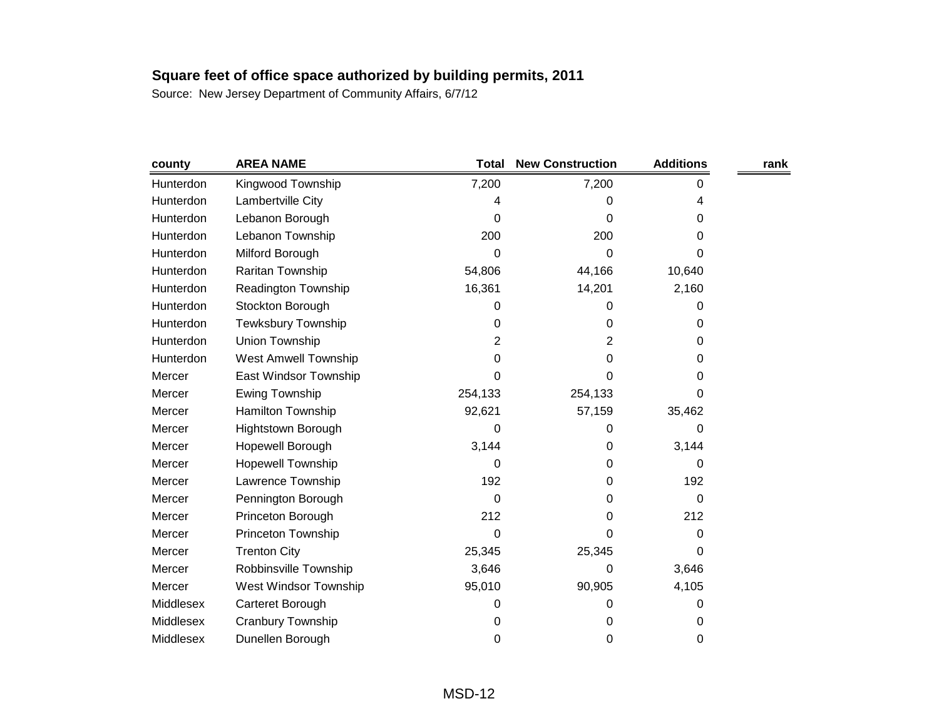| county    | <b>AREA NAME</b>            | <b>Total</b> | <b>New Construction</b> | <b>Additions</b> | rank |
|-----------|-----------------------------|--------------|-------------------------|------------------|------|
| Hunterdon | Kingwood Township           | 7,200        | 7,200                   | 0                |      |
| Hunterdon | Lambertville City           | 4            | 0                       | 4                |      |
| Hunterdon | Lebanon Borough             | 0            | 0                       | 0                |      |
| Hunterdon | Lebanon Township            | 200          | 200                     | 0                |      |
| Hunterdon | Milford Borough             | 0            | 0                       | 0                |      |
| Hunterdon | Raritan Township            | 54,806       | 44,166                  | 10,640           |      |
| Hunterdon | Readington Township         | 16,361       | 14,201                  | 2,160            |      |
| Hunterdon | Stockton Borough            | 0            | 0                       | 0                |      |
| Hunterdon | <b>Tewksbury Township</b>   | 0            | 0                       | 0                |      |
| Hunterdon | Union Township              | 2            | 2                       | 0                |      |
| Hunterdon | <b>West Amwell Township</b> | 0            | 0                       | 0                |      |
| Mercer    | East Windsor Township       | 0            | 0                       | 0                |      |
| Mercer    | <b>Ewing Township</b>       | 254,133      | 254,133                 | 0                |      |
| Mercer    | Hamilton Township           | 92,621       | 57,159                  | 35,462           |      |
| Mercer    | <b>Hightstown Borough</b>   | 0            | 0                       | 0                |      |
| Mercer    | Hopewell Borough            | 3,144        | 0                       | 3,144            |      |
| Mercer    | <b>Hopewell Township</b>    | 0            | 0                       | 0                |      |
| Mercer    | Lawrence Township           | 192          | 0                       | 192              |      |
| Mercer    | Pennington Borough          | 0            | 0                       | 0                |      |
| Mercer    | Princeton Borough           | 212          | 0                       | 212              |      |
| Mercer    | Princeton Township          | 0            | 0                       | 0                |      |
| Mercer    | <b>Trenton City</b>         | 25,345       | 25,345                  | 0                |      |
| Mercer    | Robbinsville Township       | 3,646        | 0                       | 3,646            |      |
| Mercer    | West Windsor Township       | 95,010       | 90,905                  | 4,105            |      |
| Middlesex | Carteret Borough            | 0            | 0                       | 0                |      |
| Middlesex | Cranbury Township           | 0            | 0                       | 0                |      |
| Middlesex | Dunellen Borough            | 0            | 0                       | 0                |      |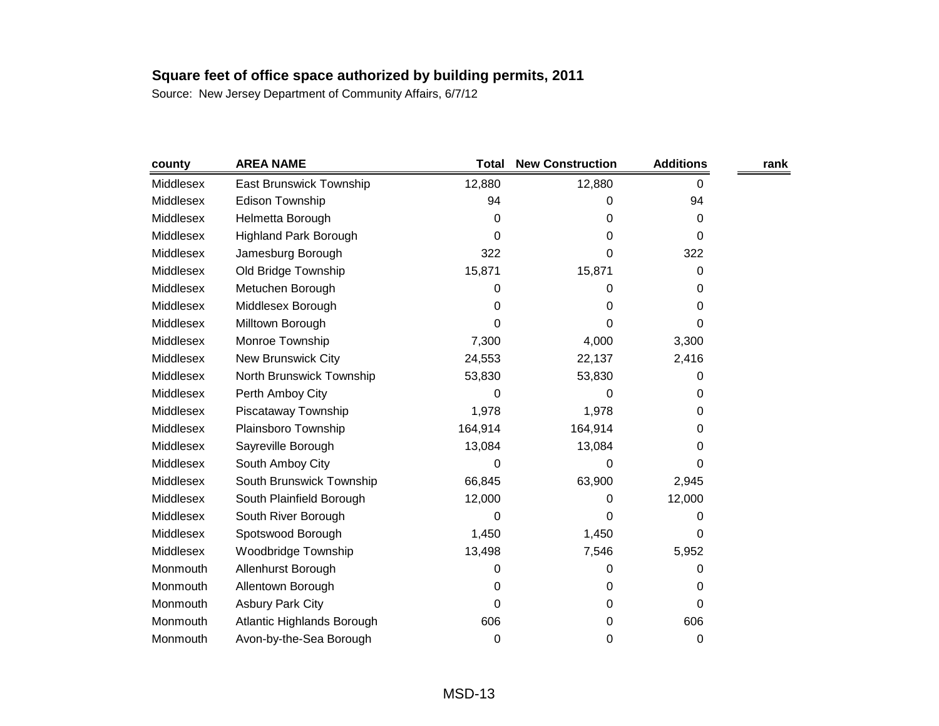| county    | <b>AREA NAME</b>             | <b>Total</b> | <b>New Construction</b> | <b>Additions</b> | rank |
|-----------|------------------------------|--------------|-------------------------|------------------|------|
| Middlesex | East Brunswick Township      | 12,880       | 12,880                  | 0                |      |
| Middlesex | <b>Edison Township</b>       | 94           | 0                       | 94               |      |
| Middlesex | Helmetta Borough             | 0            | 0                       | 0                |      |
| Middlesex | <b>Highland Park Borough</b> | 0            | 0                       | 0                |      |
| Middlesex | Jamesburg Borough            | 322          | 0                       | 322              |      |
| Middlesex | Old Bridge Township          | 15,871       | 15,871                  | 0                |      |
| Middlesex | Metuchen Borough             | 0            | 0                       | 0                |      |
| Middlesex | Middlesex Borough            | 0            | 0                       | 0                |      |
| Middlesex | Milltown Borough             | 0            | 0                       | 0                |      |
| Middlesex | Monroe Township              | 7,300        | 4,000                   | 3,300            |      |
| Middlesex | <b>New Brunswick City</b>    | 24,553       | 22,137                  | 2,416            |      |
| Middlesex | North Brunswick Township     | 53,830       | 53,830                  | 0                |      |
| Middlesex | Perth Amboy City             | 0            | 0                       | 0                |      |
| Middlesex | Piscataway Township          | 1,978        | 1,978                   | 0                |      |
| Middlesex | Plainsboro Township          | 164,914      | 164,914                 | 0                |      |
| Middlesex | Sayreville Borough           | 13,084       | 13,084                  | 0                |      |
| Middlesex | South Amboy City             | 0            | 0                       | 0                |      |
| Middlesex | South Brunswick Township     | 66,845       | 63,900                  | 2,945            |      |
| Middlesex | South Plainfield Borough     | 12,000       | 0                       | 12,000           |      |
| Middlesex | South River Borough          | 0            | 0                       | 0                |      |
| Middlesex | Spotswood Borough            | 1,450        | 1,450                   | 0                |      |
| Middlesex | Woodbridge Township          | 13,498       | 7,546                   | 5,952            |      |
| Monmouth  | Allenhurst Borough           | 0            | 0                       | 0                |      |
| Monmouth  | Allentown Borough            | 0            | 0                       | 0                |      |
| Monmouth  | <b>Asbury Park City</b>      | 0            | 0                       | 0                |      |
| Monmouth  | Atlantic Highlands Borough   | 606          | 0                       | 606              |      |
| Monmouth  | Avon-by-the-Sea Borough      | 0            | 0                       | 0                |      |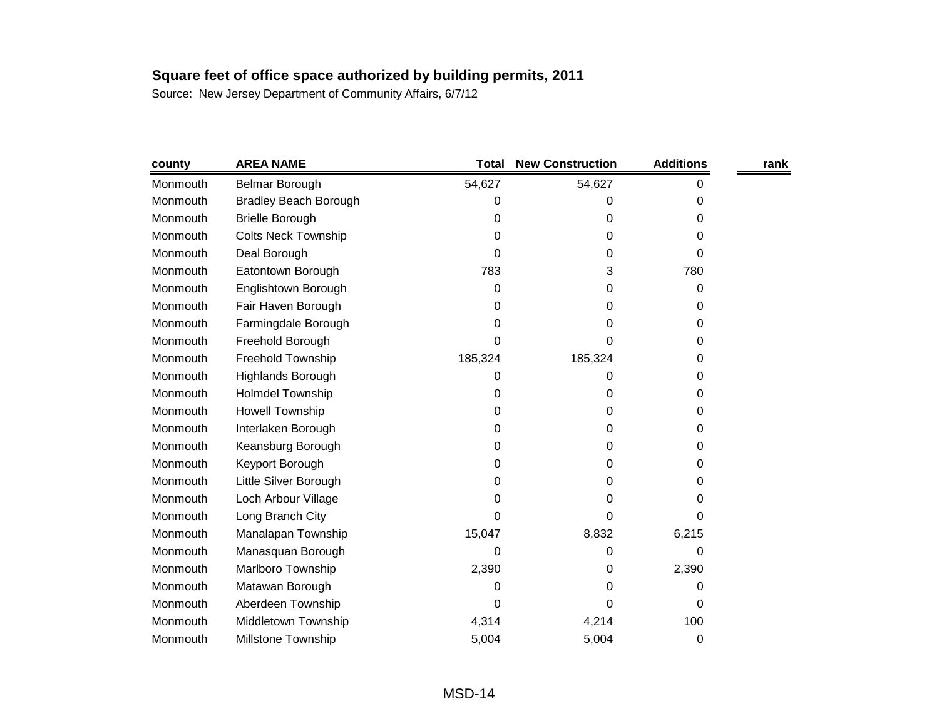| county   | <b>AREA NAME</b>             | <b>Total</b> | <b>New Construction</b> | <b>Additions</b> | rank |
|----------|------------------------------|--------------|-------------------------|------------------|------|
| Monmouth | Belmar Borough               | 54,627       | 54,627                  | 0                |      |
| Monmouth | <b>Bradley Beach Borough</b> | 0            | 0                       | 0                |      |
| Monmouth | <b>Brielle Borough</b>       | 0            | 0                       | 0                |      |
| Monmouth | <b>Colts Neck Township</b>   | 0            | 0                       | 0                |      |
| Monmouth | Deal Borough                 | 0            | 0                       | 0                |      |
| Monmouth | Eatontown Borough            | 783          | 3                       | 780              |      |
| Monmouth | Englishtown Borough          | 0            | 0                       | 0                |      |
| Monmouth | Fair Haven Borough           | 0            | 0                       | 0                |      |
| Monmouth | Farmingdale Borough          | 0            | 0                       | 0                |      |
| Monmouth | Freehold Borough             | 0            | 0                       | 0                |      |
| Monmouth | Freehold Township            | 185,324      | 185,324                 | 0                |      |
| Monmouth | Highlands Borough            | 0            | 0                       | 0                |      |
| Monmouth | <b>Holmdel Township</b>      | 0            | 0                       | 0                |      |
| Monmouth | Howell Township              | 0            | 0                       | 0                |      |
| Monmouth | Interlaken Borough           | 0            | 0                       | 0                |      |
| Monmouth | Keansburg Borough            | 0            | 0                       | 0                |      |
| Monmouth | Keyport Borough              | 0            | 0                       | 0                |      |
| Monmouth | Little Silver Borough        | 0            | 0                       | 0                |      |
| Monmouth | Loch Arbour Village          | 0            | 0                       | 0                |      |
| Monmouth | Long Branch City             | 0            | 0                       | 0                |      |
| Monmouth | Manalapan Township           | 15,047       | 8,832                   | 6,215            |      |
| Monmouth | Manasquan Borough            | 0            | 0                       | 0                |      |
| Monmouth | Marlboro Township            | 2,390        | 0                       | 2,390            |      |
| Monmouth | Matawan Borough              | 0            | 0                       | 0                |      |
| Monmouth | Aberdeen Township            | 0            | 0                       | 0                |      |
| Monmouth | Middletown Township          | 4,314        | 4,214                   | 100              |      |
| Monmouth | <b>Millstone Township</b>    | 5,004        | 5,004                   | 0                |      |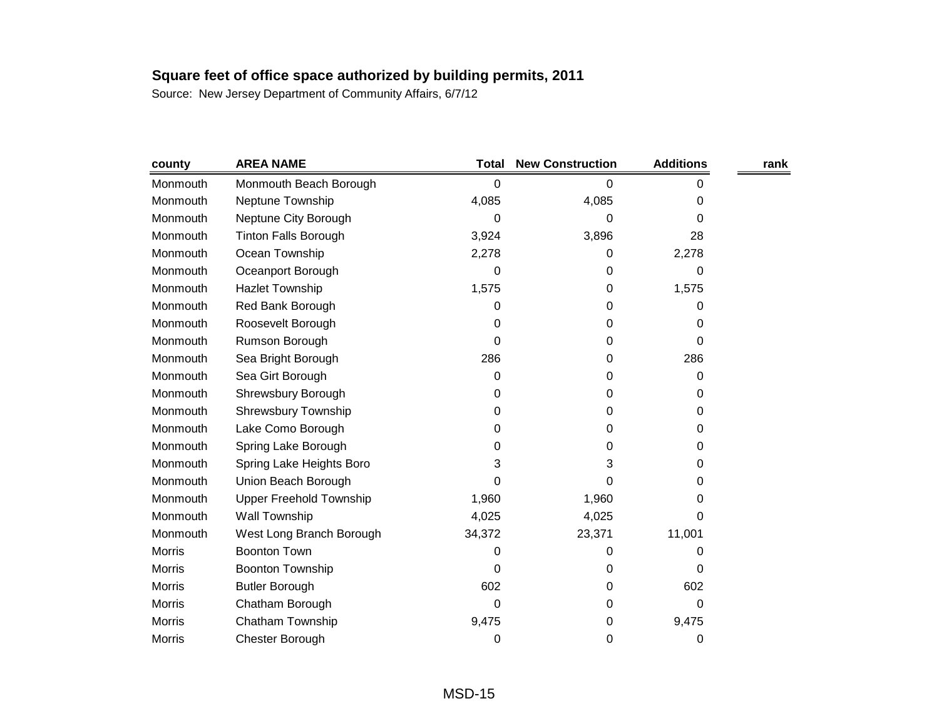| county        | <b>AREA NAME</b>               | <b>Total</b> | <b>New Construction</b> | <b>Additions</b> | rank |
|---------------|--------------------------------|--------------|-------------------------|------------------|------|
| Monmouth      | Monmouth Beach Borough         | 0            | 0                       | 0                |      |
| Monmouth      | Neptune Township               | 4,085        | 4,085                   | 0                |      |
| Monmouth      | Neptune City Borough           | 0            | 0                       | 0                |      |
| Monmouth      | <b>Tinton Falls Borough</b>    | 3,924        | 3,896                   | 28               |      |
| Monmouth      | Ocean Township                 | 2,278        | 0                       | 2,278            |      |
| Monmouth      | Oceanport Borough              | 0            | 0                       | 0                |      |
| Monmouth      | <b>Hazlet Township</b>         | 1,575        | 0                       | 1,575            |      |
| Monmouth      | Red Bank Borough               | 0            | 0                       | 0                |      |
| Monmouth      | Roosevelt Borough              | 0            | 0                       | 0                |      |
| Monmouth      | Rumson Borough                 | 0            | 0                       | 0                |      |
| Monmouth      | Sea Bright Borough             | 286          | 0                       | 286              |      |
| Monmouth      | Sea Girt Borough               | 0            | 0                       | 0                |      |
| Monmouth      | Shrewsbury Borough             | 0            | 0                       | 0                |      |
| Monmouth      | Shrewsbury Township            | 0            | 0                       | 0                |      |
| Monmouth      | Lake Como Borough              | 0            | 0                       | 0                |      |
| Monmouth      | Spring Lake Borough            | 0            | 0                       | 0                |      |
| Monmouth      | Spring Lake Heights Boro       | 3            | 3                       | 0                |      |
| Monmouth      | Union Beach Borough            | 0            | 0                       | 0                |      |
| Monmouth      | <b>Upper Freehold Township</b> | 1,960        | 1,960                   | 0                |      |
| Monmouth      | Wall Township                  | 4,025        | 4,025                   | 0                |      |
| Monmouth      | West Long Branch Borough       | 34,372       | 23,371                  | 11,001           |      |
| <b>Morris</b> | <b>Boonton Town</b>            | 0            | 0                       | 0                |      |
| <b>Morris</b> | <b>Boonton Township</b>        | 0            | 0                       | 0                |      |
| <b>Morris</b> | <b>Butler Borough</b>          | 602          | 0                       | 602              |      |
| <b>Morris</b> | Chatham Borough                | 0            | 0                       | 0                |      |
| <b>Morris</b> | Chatham Township               | 9,475        | 0                       | 9,475            |      |
| Morris        | Chester Borough                | 0            | 0                       | 0                |      |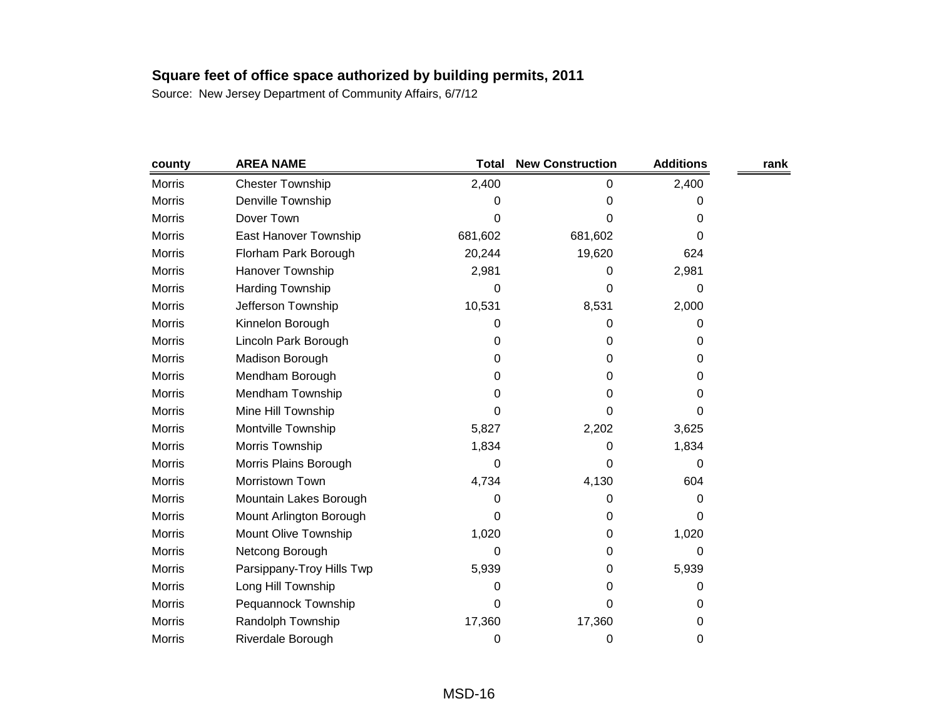| county        | <b>AREA NAME</b>          | Total   | <b>New Construction</b> | <b>Additions</b> | rank |
|---------------|---------------------------|---------|-------------------------|------------------|------|
| <b>Morris</b> | <b>Chester Township</b>   | 2,400   | 0                       | 2,400            |      |
| <b>Morris</b> | Denville Township         | 0       | 0                       | 0                |      |
| <b>Morris</b> | Dover Town                | 0       | 0                       | 0                |      |
| <b>Morris</b> | East Hanover Township     | 681,602 | 681,602                 | 0                |      |
| <b>Morris</b> | Florham Park Borough      | 20,244  | 19,620                  | 624              |      |
| Morris        | Hanover Township          | 2,981   | 0                       | 2,981            |      |
| <b>Morris</b> | <b>Harding Township</b>   | 0       | 0                       | 0                |      |
| <b>Morris</b> | Jefferson Township        | 10,531  | 8,531                   | 2,000            |      |
| Morris        | Kinnelon Borough          | 0       | 0                       | 0                |      |
| <b>Morris</b> | Lincoln Park Borough      | 0       | 0                       | 0                |      |
| <b>Morris</b> | Madison Borough           | 0       | 0                       | 0                |      |
| Morris        | Mendham Borough           | 0       | 0                       | 0                |      |
| <b>Morris</b> | Mendham Township          | 0       | 0                       | 0                |      |
| <b>Morris</b> | Mine Hill Township        | 0       | 0                       | 0                |      |
| Morris        | Montville Township        | 5,827   | 2,202                   | 3,625            |      |
| <b>Morris</b> | Morris Township           | 1,834   | 0                       | 1,834            |      |
| <b>Morris</b> | Morris Plains Borough     | 0       | 0                       | 0                |      |
| <b>Morris</b> | Morristown Town           | 4,734   | 4,130                   | 604              |      |
| <b>Morris</b> | Mountain Lakes Borough    | 0       | 0                       | 0                |      |
| <b>Morris</b> | Mount Arlington Borough   | 0       | 0                       | 0                |      |
| <b>Morris</b> | Mount Olive Township      | 1,020   | 0                       | 1,020            |      |
| <b>Morris</b> | Netcong Borough           | 0       | 0                       | 0                |      |
| <b>Morris</b> | Parsippany-Troy Hills Twp | 5,939   | 0                       | 5,939            |      |
| <b>Morris</b> | Long Hill Township        | 0       | 0                       | 0                |      |
| <b>Morris</b> | Pequannock Township       | 0       | 0                       | 0                |      |
| <b>Morris</b> | Randolph Township         | 17,360  | 17,360                  | 0                |      |
| <b>Morris</b> | Riverdale Borough         | 0       | 0                       | 0                |      |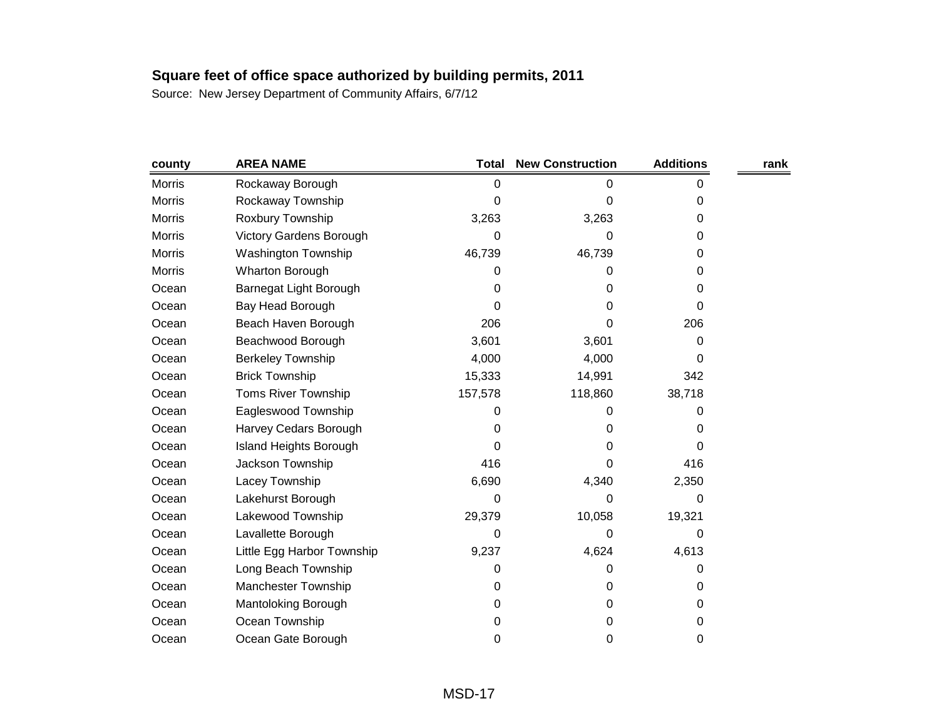| county        | <b>AREA NAME</b>               | <b>Total</b> | <b>New Construction</b> | <b>Additions</b> | rank |
|---------------|--------------------------------|--------------|-------------------------|------------------|------|
| <b>Morris</b> | Rockaway Borough               | 0            | 0                       | 0                |      |
| <b>Morris</b> | Rockaway Township              | 0            | 0                       | 0                |      |
| Morris        | Roxbury Township               | 3,263        | 3,263                   | 0                |      |
| <b>Morris</b> | <b>Victory Gardens Borough</b> | 0            | 0                       | 0                |      |
| <b>Morris</b> | <b>Washington Township</b>     | 46,739       | 46,739                  | 0                |      |
| Morris        | Wharton Borough                | 0            | 0                       | 0                |      |
| Ocean         | Barnegat Light Borough         | 0            | 0                       | 0                |      |
| Ocean         | Bay Head Borough               | 0            | 0                       | 0                |      |
| Ocean         | Beach Haven Borough            | 206          | 0                       | 206              |      |
| Ocean         | Beachwood Borough              | 3,601        | 3,601                   | 0                |      |
| Ocean         | <b>Berkeley Township</b>       | 4,000        | 4,000                   | 0                |      |
| Ocean         | <b>Brick Township</b>          | 15,333       | 14,991                  | 342              |      |
| Ocean         | <b>Toms River Township</b>     | 157,578      | 118,860                 | 38,718           |      |
| Ocean         | Eagleswood Township            | 0            | 0                       | 0                |      |
| Ocean         | Harvey Cedars Borough          | 0            | 0                       | 0                |      |
| Ocean         | <b>Island Heights Borough</b>  | 0            | 0                       | 0                |      |
| Ocean         | Jackson Township               | 416          | 0                       | 416              |      |
| Ocean         | Lacey Township                 | 6,690        | 4,340                   | 2,350            |      |
| Ocean         | Lakehurst Borough              | 0            | 0                       | 0                |      |
| Ocean         | Lakewood Township              | 29,379       | 10,058                  | 19,321           |      |
| Ocean         | Lavallette Borough             | 0            | 0                       | 0                |      |
| Ocean         | Little Egg Harbor Township     | 9,237        | 4,624                   | 4,613            |      |
| Ocean         | Long Beach Township            | 0            | 0                       | 0                |      |
| Ocean         | <b>Manchester Township</b>     | 0            | 0                       | 0                |      |
| Ocean         | Mantoloking Borough            | 0            | 0                       | 0                |      |
| Ocean         | Ocean Township                 | 0            | 0                       | 0                |      |
| Ocean         | Ocean Gate Borough             | 0            | 0                       | 0                |      |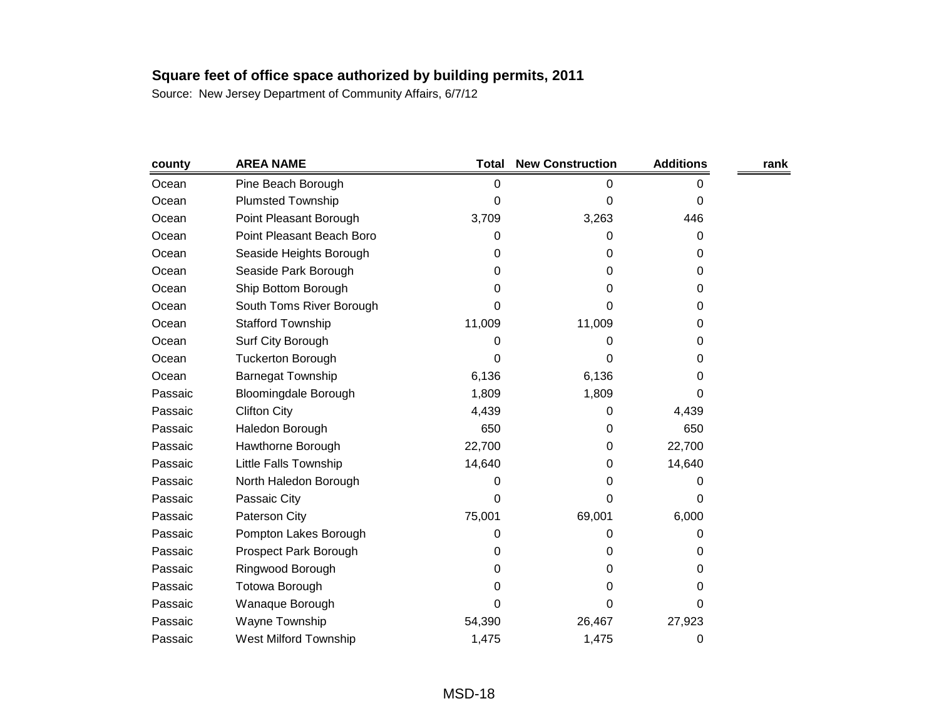| county  | <b>AREA NAME</b>             | <b>Total</b> | <b>New Construction</b> | <b>Additions</b> | rank |
|---------|------------------------------|--------------|-------------------------|------------------|------|
| Ocean   | Pine Beach Borough           | 0            | 0                       | 0                |      |
| Ocean   | <b>Plumsted Township</b>     | 0            | 0                       | 0                |      |
| Ocean   | Point Pleasant Borough       | 3,709        | 3,263                   | 446              |      |
| Ocean   | Point Pleasant Beach Boro    | 0            | 0                       | 0                |      |
| Ocean   | Seaside Heights Borough      | 0            | 0                       | 0                |      |
| Ocean   | Seaside Park Borough         | 0            | 0                       | 0                |      |
| Ocean   | Ship Bottom Borough          | 0            | 0                       | 0                |      |
| Ocean   | South Toms River Borough     | 0            | 0                       | 0                |      |
| Ocean   | <b>Stafford Township</b>     | 11,009       | 11,009                  | 0                |      |
| Ocean   | Surf City Borough            | 0            | 0                       | 0                |      |
| Ocean   | <b>Tuckerton Borough</b>     | 0            | 0                       | 0                |      |
| Ocean   | <b>Barnegat Township</b>     | 6,136        | 6,136                   | 0                |      |
| Passaic | <b>Bloomingdale Borough</b>  | 1,809        | 1,809                   | 0                |      |
| Passaic | <b>Clifton City</b>          | 4,439        | 0                       | 4,439            |      |
| Passaic | Haledon Borough              | 650          | 0                       | 650              |      |
| Passaic | Hawthorne Borough            | 22,700       | 0                       | 22,700           |      |
| Passaic | Little Falls Township        | 14,640       | 0                       | 14,640           |      |
| Passaic | North Haledon Borough        | 0            | 0                       | 0                |      |
| Passaic | Passaic City                 | 0            | 0                       | 0                |      |
| Passaic | Paterson City                | 75,001       | 69,001                  | 6,000            |      |
| Passaic | Pompton Lakes Borough        | 0            | 0                       | 0                |      |
| Passaic | Prospect Park Borough        | 0            | 0                       | 0                |      |
| Passaic | Ringwood Borough             | 0            | 0                       | 0                |      |
| Passaic | Totowa Borough               | 0            | 0                       | 0                |      |
| Passaic | Wanaque Borough              | 0            | 0                       | 0                |      |
| Passaic | Wayne Township               | 54,390       | 26,467                  | 27,923           |      |
| Passaic | <b>West Milford Township</b> | 1,475        | 1,475                   | 0                |      |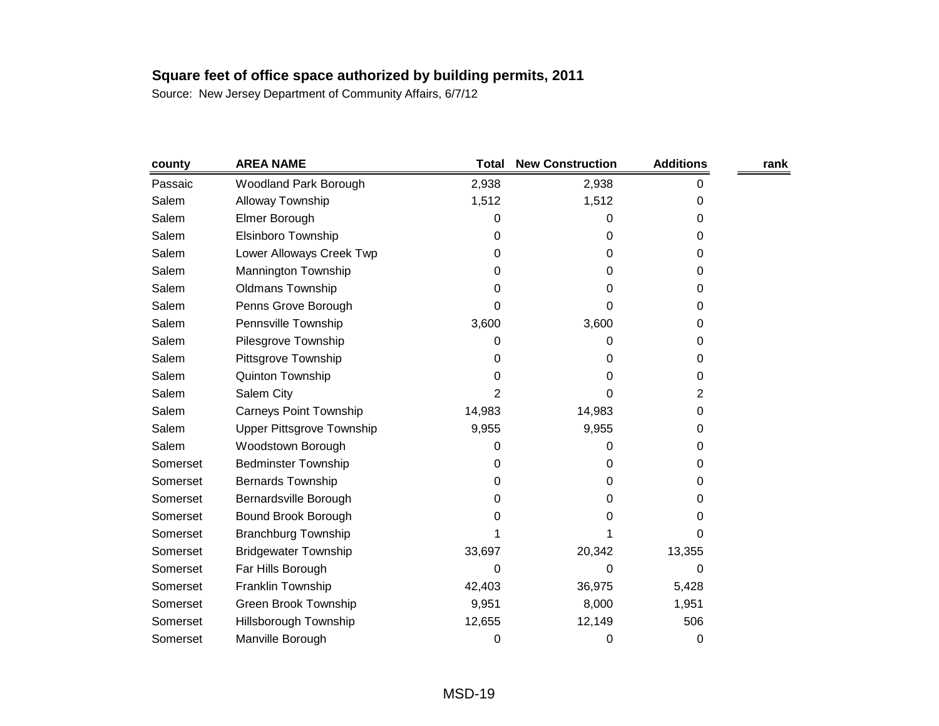| county   | <b>AREA NAME</b>              | <b>Total</b>   | <b>New Construction</b> | <b>Additions</b> | rank |
|----------|-------------------------------|----------------|-------------------------|------------------|------|
| Passaic  | Woodland Park Borough         | 2,938          | 2,938                   | 0                |      |
| Salem    | Alloway Township              | 1,512          | 1,512                   | 0                |      |
| Salem    | Elmer Borough                 | 0              | 0                       | 0                |      |
| Salem    | Elsinboro Township            | 0              | 0                       | 0                |      |
| Salem    | Lower Alloways Creek Twp      | 0              | 0                       | 0                |      |
| Salem    | Mannington Township           | 0              | 0                       | 0                |      |
| Salem    | <b>Oldmans Township</b>       | 0              | 0                       | 0                |      |
| Salem    | Penns Grove Borough           | 0              | 0                       | 0                |      |
| Salem    | Pennsville Township           | 3,600          | 3,600                   | 0                |      |
| Salem    | Pilesgrove Township           | 0              | 0                       | 0                |      |
| Salem    | Pittsgrove Township           | 0              | 0                       | 0                |      |
| Salem    | Quinton Township              | 0              | 0                       | 0                |      |
| Salem    | Salem City                    | $\overline{2}$ | 0                       | 2                |      |
| Salem    | <b>Carneys Point Township</b> | 14,983         | 14,983                  | 0                |      |
| Salem    | Upper Pittsgrove Township     | 9,955          | 9,955                   | 0                |      |
| Salem    | Woodstown Borough             | 0              | 0                       | 0                |      |
| Somerset | <b>Bedminster Township</b>    | 0              | 0                       | 0                |      |
| Somerset | <b>Bernards Township</b>      | 0              | 0                       | 0                |      |
| Somerset | Bernardsville Borough         | 0              | 0                       | 0                |      |
| Somerset | Bound Brook Borough           | Ω              | O                       | 0                |      |
| Somerset | <b>Branchburg Township</b>    |                |                         | 0                |      |
| Somerset | <b>Bridgewater Township</b>   | 33,697         | 20,342                  | 13,355           |      |
| Somerset | Far Hills Borough             | 0              | 0                       | 0                |      |
| Somerset | Franklin Township             | 42,403         | 36,975                  | 5,428            |      |
| Somerset | <b>Green Brook Township</b>   | 9,951          | 8,000                   | 1,951            |      |
| Somerset | Hillsborough Township         | 12,655         | 12,149                  | 506              |      |
| Somerset | Manville Borough              | 0              | 0                       | 0                |      |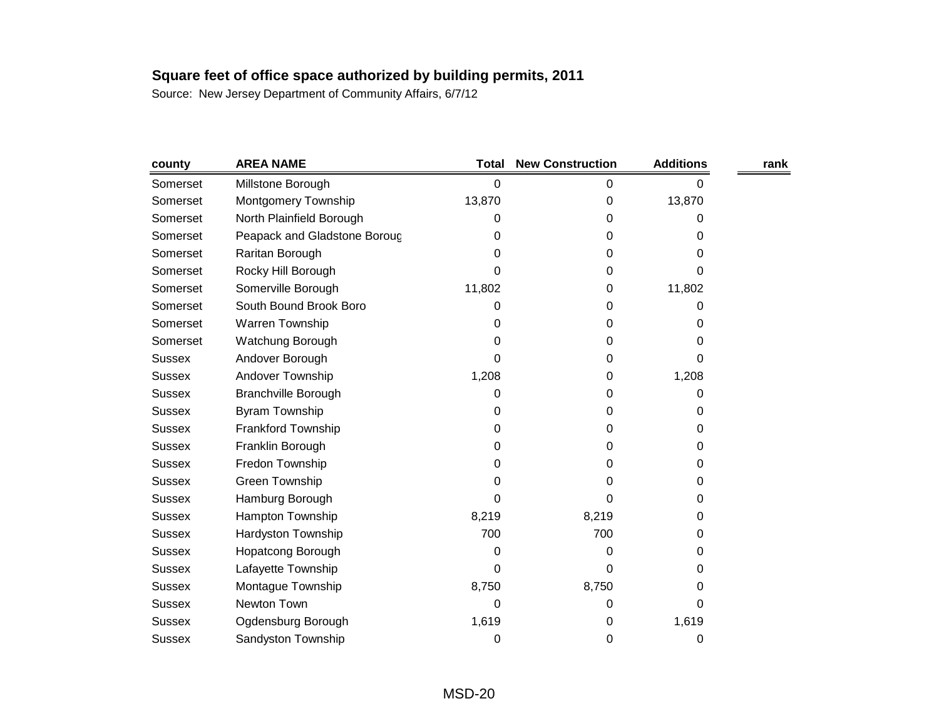| county        | <b>AREA NAME</b>             | <b>Total</b> | <b>New Construction</b> | <b>Additions</b> | rank |
|---------------|------------------------------|--------------|-------------------------|------------------|------|
| Somerset      | Millstone Borough            | 0            | 0                       | 0                |      |
| Somerset      | Montgomery Township          | 13,870       | 0                       | 13,870           |      |
| Somerset      | North Plainfield Borough     | 0            | 0                       | 0                |      |
| Somerset      | Peapack and Gladstone Boroug | 0            | 0                       | 0                |      |
| Somerset      | Raritan Borough              | 0            | 0                       | 0                |      |
| Somerset      | Rocky Hill Borough           | 0            | 0                       | 0                |      |
| Somerset      | Somerville Borough           | 11,802       | 0                       | 11,802           |      |
| Somerset      | South Bound Brook Boro       | 0            | 0                       | 0                |      |
| Somerset      | Warren Township              | 0            | 0                       | 0                |      |
| Somerset      | Watchung Borough             | 0            | 0                       | 0                |      |
| <b>Sussex</b> | Andover Borough              | 0            | 0                       | 0                |      |
| <b>Sussex</b> | Andover Township             | 1,208        | 0                       | 1,208            |      |
| <b>Sussex</b> | <b>Branchville Borough</b>   | 0            | 0                       | 0                |      |
| <b>Sussex</b> | <b>Byram Township</b>        | 0            | 0                       | 0                |      |
| <b>Sussex</b> | Frankford Township           | 0            | 0                       | 0                |      |
| <b>Sussex</b> | Franklin Borough             | 0            | 0                       | 0                |      |
| <b>Sussex</b> | Fredon Township              | 0            | 0                       | 0                |      |
| <b>Sussex</b> | Green Township               | 0            | 0                       | 0                |      |
| <b>Sussex</b> | Hamburg Borough              | 0            | 0                       | 0                |      |
| <b>Sussex</b> | Hampton Township             | 8,219        | 8,219                   | 0                |      |
| <b>Sussex</b> | Hardyston Township           | 700          | 700                     | 0                |      |
| <b>Sussex</b> | <b>Hopatcong Borough</b>     | 0            | 0                       | 0                |      |
| <b>Sussex</b> | Lafayette Township           | 0            | 0                       | 0                |      |
| <b>Sussex</b> | Montague Township            | 8,750        | 8,750                   | 0                |      |
| <b>Sussex</b> | Newton Town                  | 0            | 0                       | 0                |      |
| <b>Sussex</b> | Ogdensburg Borough           | 1,619        | 0                       | 1,619            |      |
| <b>Sussex</b> | Sandyston Township           | 0            | 0                       | 0                |      |
|               |                              |              |                         |                  |      |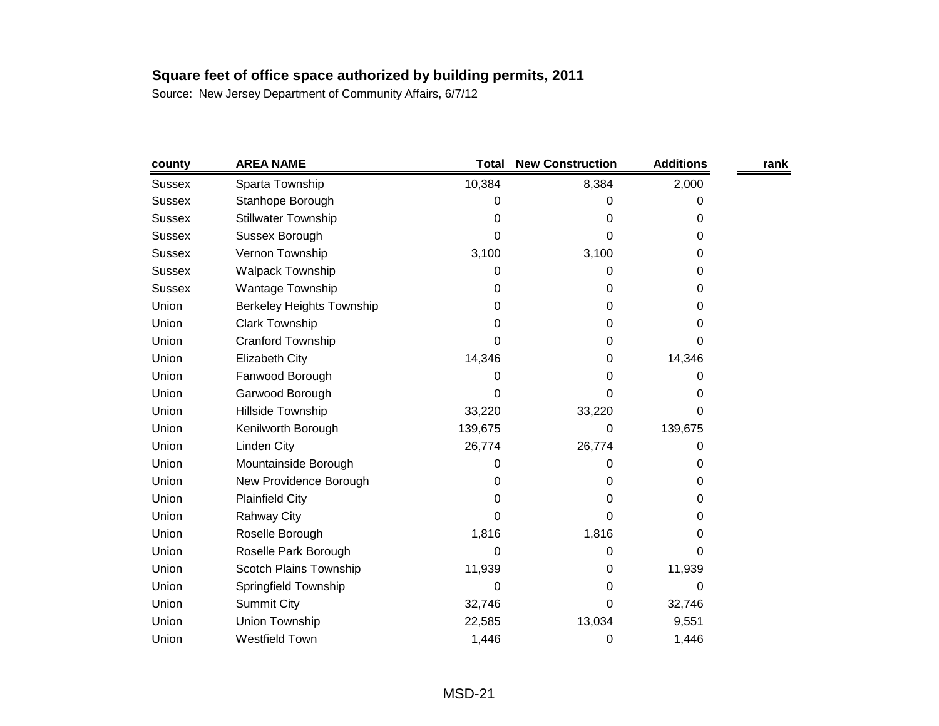| county        | <b>AREA NAME</b>                 | <b>Total</b> | <b>New Construction</b> | <b>Additions</b> | rank |
|---------------|----------------------------------|--------------|-------------------------|------------------|------|
| Sussex        | Sparta Township                  | 10,384       | 8,384                   | 2,000            |      |
| <b>Sussex</b> | Stanhope Borough                 | 0            | 0                       | 0                |      |
| <b>Sussex</b> | <b>Stillwater Township</b>       | 0            | 0                       | 0                |      |
| <b>Sussex</b> | Sussex Borough                   | 0            | 0                       | 0                |      |
| <b>Sussex</b> | Vernon Township                  | 3,100        | 3,100                   | 0                |      |
| <b>Sussex</b> | <b>Walpack Township</b>          | 0            | 0                       | 0                |      |
| <b>Sussex</b> | Wantage Township                 | 0            | 0                       | 0                |      |
| Union         | <b>Berkeley Heights Township</b> | 0            | 0                       | 0                |      |
| Union         | <b>Clark Township</b>            | 0            | 0                       | 0                |      |
| Union         | Cranford Township                | 0            | 0                       | 0                |      |
| Union         | <b>Elizabeth City</b>            | 14,346       | 0                       | 14,346           |      |
| Union         | Fanwood Borough                  | 0            | 0                       | 0                |      |
| Union         | Garwood Borough                  | 0            | 0                       | 0                |      |
| Union         | Hillside Township                | 33,220       | 33,220                  | 0                |      |
| Union         | Kenilworth Borough               | 139,675      | 0                       | 139,675          |      |
| Union         | Linden City                      | 26,774       | 26,774                  | 0                |      |
| Union         | Mountainside Borough             | 0            | 0                       | 0                |      |
| Union         | New Providence Borough           | 0            | 0                       | 0                |      |
| Union         | <b>Plainfield City</b>           | 0            | 0                       | 0                |      |
| Union         | <b>Rahway City</b>               | 0            | 0                       | 0                |      |
| Union         | Roselle Borough                  | 1,816        | 1,816                   | 0                |      |
| Union         | Roselle Park Borough             | 0            | 0                       | 0                |      |
| Union         | Scotch Plains Township           | 11,939       | 0                       | 11,939           |      |
| Union         | Springfield Township             | 0            | 0                       | 0                |      |
| Union         | <b>Summit City</b>               | 32,746       | 0                       | 32,746           |      |
| Union         | Union Township                   | 22,585       | 13,034                  | 9,551            |      |
| Union         | Westfield Town                   | 1,446        | 0                       | 1,446            |      |